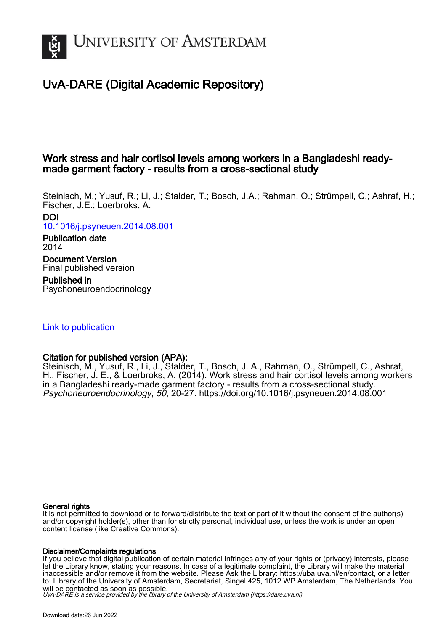

## UvA-DARE (Digital Academic Repository)

## Work stress and hair cortisol levels among workers in a Bangladeshi readymade garment factory - results from a cross-sectional study

Steinisch, M.; Yusuf, R.; Li, J.; Stalder, T.; Bosch, J.A.; Rahman, O.; Strümpell, C.; Ashraf, H.; Fischer, J.E.; Loerbroks, A. DOI [10.1016/j.psyneuen.2014.08.001](https://doi.org/10.1016/j.psyneuen.2014.08.001) Publication date 2014 Document Version

Final published version Published in

Psychoneuroendocrinology

## [Link to publication](https://dare.uva.nl/personal/pure/en/publications/work-stress-and-hair-cortisol-levels-among-workers-in-a-bangladeshi-readymade-garment-factory--results-from-a-crosssectional-study(ac274b73-a068-405a-a754-7698a52f0420).html)

### Citation for published version (APA):

Steinisch, M., Yusuf, R., Li, J., Stalder, T., Bosch, J. A., Rahman, O., Strümpell, C., Ashraf, H., Fischer, J. E., & Loerbroks, A. (2014). Work stress and hair cortisol levels among workers in a Bangladeshi ready-made garment factory - results from a cross-sectional study. Psychoneuroendocrinology, 50, 20-27. <https://doi.org/10.1016/j.psyneuen.2014.08.001>

#### General rights

It is not permitted to download or to forward/distribute the text or part of it without the consent of the author(s) and/or copyright holder(s), other than for strictly personal, individual use, unless the work is under an open content license (like Creative Commons).

#### Disclaimer/Complaints regulations

If you believe that digital publication of certain material infringes any of your rights or (privacy) interests, please let the Library know, stating your reasons. In case of a legitimate complaint, the Library will make the material inaccessible and/or remove it from the website. Please Ask the Library: https://uba.uva.nl/en/contact, or a letter to: Library of the University of Amsterdam, Secretariat, Singel 425, 1012 WP Amsterdam, The Netherlands. You will be contacted as soon as possible.

UvA-DARE is a service provided by the library of the University of Amsterdam (http*s*://dare.uva.nl)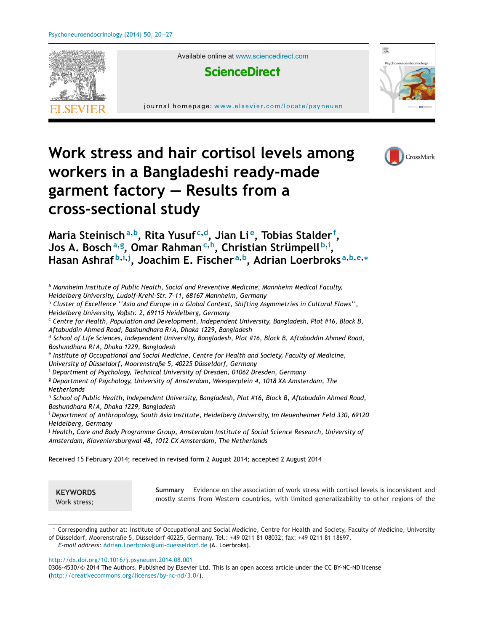

Available online at [www.sciencedirect.com](http://www.sciencedirect.com/science/journal/03064530)



journal homepage: <www.elsevier.com/locate/psyneuen>



# **Work stress and hair cortisol levels among workers in a Bangladeshi ready-made garment factory — Results from a cross-sectional study**



**Maria Steinisch<sup>a</sup>,b, Rita Yusuf <sup>c</sup>,d, Jian Li e, Tobias Stalder <sup>f</sup> , Jos A. Bosch<sup>a</sup>,<sup>g</sup> , Omar Rahman<sup>c</sup>,h, Christian Strümpell <sup>b</sup>,<sup>i</sup> ,** Hasan Ashraf<sup>b,i,j</sup>, Joachim E. Fischer<sup>a,b</sup>, Adrian Loerbroks<sup>a,b,e,</sup>\*

<sup>a</sup> *Mannheim Institute of Public Health, Social and Preventive Medicine, Mannheim Medical Faculty,*

*Heidelberg University, Ludolf-Krehl-Str. 7-11, 68167 Mannheim, Germany*

<sup>b</sup> *Cluster of Excellence ''Asia and Europe in a Global Context, Shifting Asymmetries in Cultural Flows'', Heidelberg University, Voßstr. 2, 69115 Heidelberg, Germany*

<sup>c</sup> *Centre for Health, Population and Development, Independent University, Bangladesh, Plot #16, Block B, Aftabuddin Ahmed Road, Bashundhara R/A, Dhaka 1229, Bangladesh*

<sup>d</sup> *School of Life Sciences, Independent University, Bangladesh, Plot #16, Block B, Aftabuddin Ahmed Road, Bashundhara R/A, Dhaka 1229, Bangladesh*

<sup>e</sup> *Institute of Occupational and Social Medicine, Centre for Health and Society, Faculty of Medicine,*

*University of Düsseldorf, Moorenstraße 5, 40225 Düsseldorf, Germany*

<sup>f</sup> *Department of Psychology, Technical University of Dresden, 01062 Dresden, Germany*

<sup>g</sup> *Department of Psychology, University of Amsterdam, Weesperplein 4, 1018 XA Amsterdam, The Netherlands*

<sup>h</sup> *School of Public Health, Independent University, Bangladesh, Plot #16, Block B, Aftabuddin Ahmed Road, Bashundhara R/A, Dhaka 1229, Bangladesh*

<sup>i</sup> *Department of Anthropology, South Asia Institute, Heidelberg University, Im Neuenheimer Feld 330, 69120 Heidelberg, Germany*

<sup>j</sup> *Health, Care and Body Programme Group, Amsterdam Institute of Social Science Research, University of Amsterdam, Kloveniersburgwal 48, 1012 CX Amsterdam, The Netherlands*

Received 15 February 2014; received in revised form 2 August 2014; accepted 2 August 2014

**KEYWORDS**

Work stress;

**Summary** Evidence on the association of work stress with cortisol levels is inconsistent and mostly stems from Western countries, with limited generalizability to other regions of the

Corresponding author at: Institute of Occupational and Social Medicine, Centre for Health and Society, Faculty of Medicine, University of Düsseldorf, Moorenstraße 5, Düsseldorf 40225, Germany. Tel.: +49 0211 81 08032; fax: +49 0211 81 18697.

*E-mail address:* [Adrian.Loerbroks@uni-duesseldorf.de](mailto:Adrian.Loerbroks@uni-duesseldorf.de) (A. Loerbroks).

[http://dx.doi.org/10.1016/j.psyneuen.2014.08.001](dx.doi.org/10.1016/j.psyneuen.2014.08.001)

<sup>0306-4530/©</sup> 2014 The Authors. Published by Elsevier Ltd. This is an open access article under the CC BY-NC-ND license (<http://creativecommons.org/licenses/by-nc-nd/3.0/>).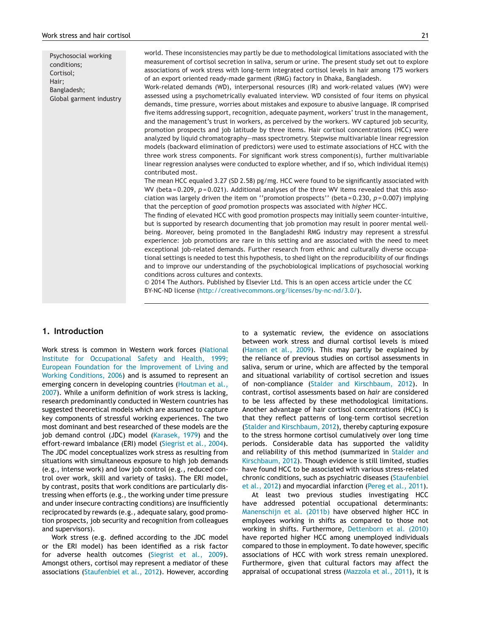Psychosocial working conditions; Cortisol; Hair; Bangladesh; Global garment industry world. These inconsistencies may partly be due to methodological limitations associated with the measurement of cortisol secretion in saliva, serum or urine. The present study set out to explore associations of work stress with long-term integrated cortisol levels in hair among 175 workers of an export oriented ready-made garment (RMG) factory in Dhaka, Bangladesh.

Work-related demands (WD), interpersonal resources (IR) and work-related values (WV) were assessed using a psychometrically evaluated interview. WD consisted of four items on physical demands, time pressure, worries about mistakes and exposure to abusive language. IR comprised five items addressing support, recognition, adequate payment, workers' trust in the management, and the management's trust in workers, as perceived by the workers. WV captured job security, promotion prospects and job latitude by three items. Hair cortisol concentrations (HCC) were analyzed by liquid chromatography—mass spectrometry. Stepwise multivariable linear regression models (backward elimination of predictors) were used to estimate associations of HCC with the three work stress components. For significant work stress component(s), further multivariable linear regression analyses were conducted to explore whether, and if so, which individual item(s) contributed most.

The mean HCC equaled 3.27 (SD 2.58) pg/mg. HCC were found to be significantly associated with WV (beta = 0.209,  $p = 0.021$ ). Additional analyses of the three WV items revealed that this association was largely driven the item on ''promotion prospects'' (beta = 0.230, *p* = 0.007) implying that the perception of *good* promotion prospects was associated with *higher* HCC.

The finding of elevated HCC with good promotion prospects may initially seem counter-intuitive, but is supported by research documenting that job promotion may result in poorer mental wellbeing. Moreover, being promoted in the Bangladeshi RMG industry may represent a stressful experience: job promotions are rare in this setting and are associated with the need to meet exceptional job-related demands. Further research from ethnic and culturally diverse occupational settings is needed to test this hypothesis, to shed light on the reproducibility of our findings and to improve our understanding of the psychobiological implications of psychosocial working conditions across cultures and contexts.

© 2014 The Authors. Published by Elsevier Ltd. This is an open access article under the CC BY-NC-ND license [\(http://creativecommons.org/licenses/by-nc-nd/3.0/\)](http://creativecommons.org/licenses/by-nc-nd/3.0/).

#### **1. Introduction**

Work stress is common in Western work forces ([National](#page-8-0) [Institute](#page-8-0) [for](#page-8-0) [Occupational](#page-8-0) [Safety](#page-8-0) [and](#page-8-0) [Health,](#page-8-0) [1999;](#page-8-0) [European](#page-8-0) [Foundation](#page-8-0) [for](#page-8-0) [the](#page-8-0) [Improvement](#page-8-0) [of](#page-8-0) [Living](#page-8-0) [and](#page-8-0) [Working](#page-8-0) [Conditions,](#page-8-0) [2006\)](#page-8-0) and is assumed to represent an emerging concern in developing countries [\(Houtman](#page-7-0) et [al.,](#page-7-0) [2007\).](#page-7-0) While a uniform definition of work stress is lacking, research predominantly conducted in Western countries has suggested theoretical models which are assumed to capture key components of stressful working experiences. The two most dominant and best researched of these models are the job demand control (JDC) model [\(Karasek,](#page-8-0) [1979\)](#page-8-0) and the effort-reward imbalance (ERI) model [\(Siegrist](#page-8-0) et [al.,](#page-8-0) [2004\).](#page-8-0) The JDC model conceptualizes work stress as resulting from situations with simultaneous exposure to high job demands (e.g., intense work) and low job control (e.g., reduced control over work, skill and variety of tasks). The ERI model, by contrast, posits that work conditions are particularly distressing when efforts (e.g., the working under time pressure and under insecure contracting conditions) are insufficiently reciprocated by rewards (e.g., adequate salary, good promotion prospects, job security and recognition from colleagues and supervisors).

Work stress (e.g. defined according to the JDC model or the ERI model) has been identified as a risk factor for adverse health outcomes [\(Siegrist](#page-8-0) et [al.,](#page-8-0) [2009\).](#page-8-0) Amongst others, cortisol may represent a mediator of these associations ([Staufenbiel](#page-8-0) et [al.,](#page-8-0) [2012\).](#page-8-0) However, according to a systematic review, the evidence on associations between work stress and diurnal cortisol levels is mixed ([Hansen](#page-7-0) et [al.,](#page-7-0) [2009\).](#page-7-0) This may partly be explained by the reliance of previous studies on cortisol assessments in saliva, serum or urine, which are affected by the temporal and situational variability of cortisol secretion and issues of non-compliance ([Stalder](#page-8-0) [and](#page-8-0) [Kirschbaum,](#page-8-0) [2012\).](#page-8-0) In contrast, cortisol assessments based on *hair* are considered to be less affected by these methodological limitations. Another advantage of hair cortisol concentrations (HCC) is that they reflect patterns of long-term cortisol secretion ([Stalder](#page-8-0) [and](#page-8-0) [Kirschbaum,](#page-8-0) [2012\),](#page-8-0) thereby capturing exposure to the stress hormone cortisol cumulatively over long time periods. Considerable data has supported the validity and reliability of this method (summarized in [Stalder](#page-8-0) [and](#page-8-0) [Kirschbaum,](#page-8-0) [2012\).](#page-8-0) Though evidence is still limited, studies have found HCC to be associated with various stress-related chronic conditions, such as psychiatric diseases ([Staufenbiel](#page-8-0) et [al.,](#page-8-0) [2012\)](#page-8-0) and myocardial infarction ([Pereg](#page-8-0) et [al.,](#page-8-0) [2011\).](#page-8-0)

At least two previous studies investigating HCC have addressed potential occupational determinants: [Manenschijn](#page-8-0) et [al.](#page-8-0) [\(2011b\)](#page-8-0) have observed higher HCC in employees working in shifts as compared to those not working in shifts. Furthermore, [Dettenborn](#page-7-0) et [al.](#page-7-0) [\(2010\)](#page-7-0) have reported higher HCC among unemployed individuals compared to those in employment. To date however, specific associations of HCC with work stress remain unexplored. Furthermore, given that cultural factors may affect the appraisal of occupational stress ([Mazzola](#page-8-0) et [al.,](#page-8-0) [2011\),](#page-8-0) it is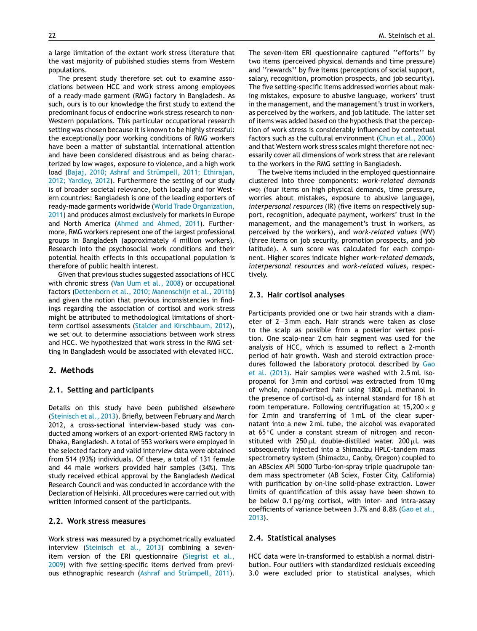a large limitation of the extant work stress literature that the vast majority of published studies stems from Western populations.

The present study therefore set out to examine associations between HCC and work stress among employees of a ready-made garment (RMG) factory in Bangladesh. As such, ours is to our knowledge the first study to extend the predominant focus of endocrine work stress research to non-Western populations. This particular occupational research setting was chosen because it is known to be highly stressful: the exceptionally poor working conditions of RMG workers have been a matter of substantial international attention and have been considered disastrous and as being characterized by low wages, exposure to violence, and a high work load [\(Bajaj,](#page-7-0) [2010;](#page-7-0) [Ashraf](#page-7-0) [and](#page-7-0) [Strümpell,](#page-7-0) [2011;](#page-7-0) [Ethirajan,](#page-7-0) [2012;](#page-7-0) [Yardley,](#page-7-0) [2012\).](#page-7-0) Furthermore the setting of our study is of broader societal relevance, both locally and for Western countries: Bangladesh is one of the leading exporters of ready-made garments worldwide [\(World](#page-8-0) [Trade](#page-8-0) [Organization,](#page-8-0) [2011\)](#page-8-0) and produces almost exclusively for markets in Europe and North America ([Ahmed](#page-7-0) [and](#page-7-0) [Ahmed,](#page-7-0) [2011\).](#page-7-0) Furthermore, RMG workers represent one of the largest professional groups in Bangladesh (approximately 4 million workers). Research into the psychosocial work conditions and their potential health effects in this occupational population is therefore of public health interest.

Given that previous studies suggested associations of HCC with chronic stress ([Van](#page-8-0) [Uum](#page-8-0) et [al.,](#page-8-0) [2008\)](#page-8-0) or occupational factors ([Dettenborn](#page-7-0) et [al.,](#page-7-0) [2010;](#page-7-0) [Manenschijn](#page-7-0) et [al.,](#page-7-0) [2011b\)](#page-7-0) and given the notion that previous inconsistencies in findings regarding the association of cortisol and work stress might be attributed to methodological limitations of shortterm cortisol assessments [\(Stalder](#page-8-0) [and](#page-8-0) [Kirschbaum,](#page-8-0) [2012\),](#page-8-0) we set out to determine associations between work stress and HCC. We hypothesized that work stress in the RMG setting in Bangladesh would be associated with elevated HCC.

#### **2. Methods**

#### **2.1. Setting and participants**

Details on this study have been published elsewhere [\(Steinisch](#page-8-0) et [al.,](#page-8-0) [2013\).](#page-8-0) Briefly, between February and March 2012, a cross-sectional interview-based study was conducted among workers of an export-oriented RMG factory in Dhaka, Bangladesh. A total of 553 workers were employed in the selected factory and valid interview data were obtained from 514 (93%) individuals. Of these, a total of 131 female and 44 male workers provided hair samples (34%). This study received ethical approval by the Bangladesh Medical Research Council and was conducted in accordance with the Declaration of Helsinki. All procedures were carried out with written informed consent of the participants.

#### **2.2. Work stress measures**

Work stress was measured by a psychometrically evaluated interview ([Steinisch](#page-8-0) et [al.,](#page-8-0) [2013\)](#page-8-0) combining a sevenitem version of the ERI questionnaire [\(Siegrist](#page-8-0) et [al.,](#page-8-0) [2009\)](#page-8-0) with five setting-specific items derived from previous ethnographic research ([Ashraf](#page-7-0) [and](#page-7-0) [Strümpell,](#page-7-0) [2011\).](#page-7-0) The seven-item ERI questionnaire captured ''efforts'' by two items (perceived physical demands and time pressure) and ''rewards'' by five items (perceptions of social support, salary, recognition, promotion prospects, and job security). The five setting-specific items addressed worries about making mistakes, exposure to abusive language, workers' trust in the management, and the management's trust in workers, as perceived by the workers, and job latitude. The latter set of items was added based on the hypothesis that the perception of work stress is considerably influenced by contextual factors such as the cultural environment [\(Chun](#page-7-0) et [al.,](#page-7-0) [2006\)](#page-7-0) and that Western work stress scales might therefore not necessarily cover all dimensions of work stress that are relevant to the workers in the RMG setting in Bangladesh.

The twelve items included in the employed questionnaire clustered into three components: *work-related demands* (WD) (four items on high physical demands, time pressure, worries about mistakes, exposure to abusive language), *interpersonal resources* (IR) (five items on respectively support, recognition, adequate payment, workers' trust in the management, and the management's trust in workers, as perceived by the workers), and *work-related values* (WV) (three items on job security, promotion prospects, and job latitude). A sum score was calculated for each component. Higher scores indicate higher *work-related demands*, *interpersonal resources* and *work-related values*, respectively.

#### **2.3. Hair cortisol analyses**

Participants provided one or two hair strands with a diameter of 2—3 mm each. Hair strands were taken as close to the scalp as possible from a posterior vertex position. One scalp-near 2 cm hair segment was used for the analysis of HCC, which is assumed to reflect a 2-month period of hair growth. Wash and steroid extraction proce-dures followed the laboratory protocol described by [Gao](#page-7-0) et [al.](#page-7-0) [\(2013\).](#page-7-0) Hair samples were washed with 2.5 mL isopropanol for 3 min and cortisol was extracted from 10 mg of whole, nonpulverized hair using  $1800 \mu L$  methanol in the presence of cortisol- $d_4$  as internal standard for 18h at room temperature. Following centrifugation at 15,200 × *g* for 2 min and transferring of 1 mL of the clear supernatant into a new 2 mL tube, the alcohol was evaporated at 65 ◦C under a constant stream of nitrogen and reconstituted with 250  $\mu$ L double-distilled water. 200  $\mu$ L was subsequently injected into a Shimadzu HPLC-tandem mass spectrometry system (Shimadzu, Canby, Oregon) coupled to an ABSciex API 5000 Turbo-ion-spray triple quadrupole tandem mass spectrometer (AB Sciex, Foster City, California) with purification by on-line solid-phase extraction. Lower limits of quantification of this assay have been shown to be below 0.1 pg/mg cortisol, with inter- and intra-assay coefficients of variance between 3.7% and 8.8% ([Gao](#page-7-0) et [al.,](#page-7-0) [2013\).](#page-7-0)

#### **2.4. Statistical analyses**

HCC data were ln-transformed to establish a normal distribution. Four outliers with standardized residuals exceeding 3.0 were excluded prior to statistical analyses, which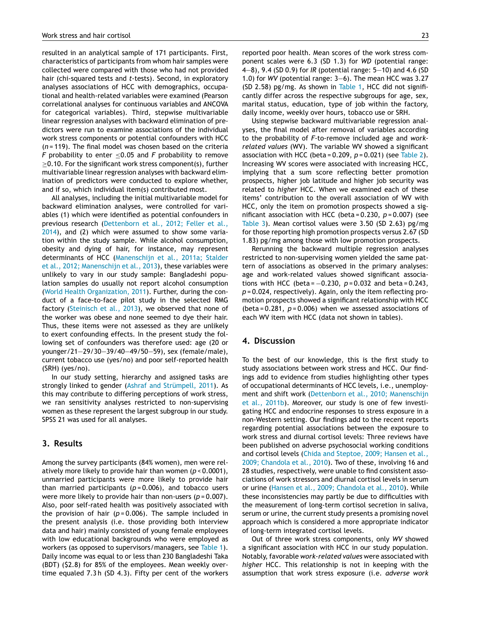resulted in an analytical sample of 171 participants. First, characteristics of participants from whom hair samples were collected were compared with those who had not provided hair (chi-squared tests and *t*-tests). Second, in exploratory analyses associations of HCC with demographics, occupational and health-related variables were examined (Pearson correlational analyses for continuous variables and ANCOVA for categorical variables). Third, stepwise multivariable linear regression analyses with backward elimination of predictors were run to examine associations of the individual work stress components or potential confounders with HCC (*n* = 119). The final model was chosen based on the criteria *F* probability to enter ≤0.05 and *F* probability to remove  $\geq$ 0.10. For the significant work stress component(s), further multivariable linear regression analyses with backward elimination of predictors were conducted to explore whether, and if so, which individual item(s) contributed most.

All analyses, including the initial multivariable model for backward elimination analyses, were controlled for variables (1) which were identified as potential confounders in previous research ([Dettenborn](#page-7-0) et [al.,](#page-7-0) [2012;](#page-7-0) [Feller](#page-7-0) et [al.,](#page-7-0) [2014\),](#page-7-0) and (2) which were assumed to show some variation within the study sample. While alcohol consumption, obesity and dying of hair, for instance, may represent determinants of HCC ([Manenschijn](#page-8-0) et [al.,](#page-8-0) [2011a;](#page-8-0) [Stalder](#page-8-0) et [al.,](#page-8-0) [2012;](#page-8-0) [Manenschijn](#page-8-0) et [al.,](#page-8-0) [2013\),](#page-8-0) these variables were unlikely to vary in our study sample: Bangladeshi population samples do usually not report alcohol consumption ([World](#page-8-0) [Health](#page-8-0) [Organization,](#page-8-0) [2011\).](#page-8-0) Further, during the conduct of a face-to-face pilot study in the selected RMG factory [\(Steinisch](#page-8-0) et [al.,](#page-8-0) [2013\),](#page-8-0) we observed that none of the worker was obese and none seemed to dye their hair. Thus, these items were not assessed as they are unlikely to exert confounding effects. In the present study the following set of confounders was therefore used: age (20 or younger/21—29/30—39/40—49/50—59), sex (female/male), current tobacco use (yes/no) and poor self-reported health (SRH) (yes/no).

In our study setting, hierarchy and assigned tasks are strongly linked to gender ([Ashraf](#page-7-0) [and](#page-7-0) [Strümpell,](#page-7-0) [2011\).](#page-7-0) As this may contribute to differing perceptions of work stress, we ran sensitivity analyses restricted to non-supervising women as these represent the largest subgroup in our study. SPSS 21 was used for all analyses.

#### **3. Results**

Among the survey participants (84% women), men were relatively more likely to provide hair than women (*p* < 0.0001), unmarried participants were more likely to provide hair than married participants  $(p=0.006)$ , and tobacco users were more likely to provide hair than non-users (*p* = 0.007). Also, poor self-rated health was positively associated with the provision of hair  $(p=0.006)$ . The sample included in the present analysis (i.e. those providing both interview data and hair) mainly consisted of young female employees with low educational backgrounds who were employed as workers (as opposed to supervisors/managers, see [Table](#page-5-0) 1). Daily income was equal to or less than 230 Bangladeshi Taka (BDT) (\$2.8) for 85% of the employees. Mean weekly overtime equaled 7.3 h (SD 4.3). Fifty per cent of the workers reported poor health. Mean scores of the work stress component scales were 6.3 (SD 1.3) for *WD* (potential range: 4—8), 9.4 (SD 0.9) for *IR* (potential range: 5—10) and 4.6 (SD 1.0) for *WV* (potential range: 3—6). The mean HCC was 3.27 (SD 2.58) pg/mg. As shown in [Table](#page-5-0) 1, HCC did not significantly differ across the respective subgroups for age, sex, marital status, education, type of job within the factory, daily income, weekly over hours, tobacco use or SRH.

Using stepwise backward multivariable regression analyses, the final model after removal of variables according to the probability of *F*-to-remove included age and *workrelated values* (WV). The variable WV showed a significant association with HCC (beta = 0.209, *p* = 0.021) (see [Table](#page-6-0) 2). Increasing WV scores were associated with increasing HCC, implying that a sum score reflecting better promotion prospects, higher job latitude and higher job security was related to *higher* HCC. When we examined each of these items' contribution to the overall association of WV with HCC, only the item on promotion prospects showed a significant association with HCC (beta = 0.230, *p* = 0.007) (see [Table](#page-6-0) 3). Mean cortisol values were 3.50 (SD 2.63) pg/mg for those reporting high promotion prospects versus 2.67 (SD 1.83) pg/mg among those with low promotion prospects.

Rerunning the backward multiple regression analyses restricted to non-supervising women yielded the same pattern of associations as observed in the primary analyses: age and work-related values showed significant associations with HCC (beta =  $-0.230$ ,  $p = 0.032$  and beta = 0.243, *p* = 0.024, respectively). Again, only the item reflecting promotion prospects showed a significant relationship with HCC (beta = 0.281, *p* = 0.006) when we assessed associations of each WV item with HCC (data not shown in tables).

#### **4. Discussion**

To the best of our knowledge, this is the first study to study associations between work stress and HCC. Our findings add to evidence from studies highlighting other types of occupational determinants of HCC levels, i.e., unemployment and shift work [\(Dettenborn](#page-7-0) et [al.,](#page-7-0) [2010;](#page-7-0) [Manenschijn](#page-7-0) et [al.,](#page-7-0) [2011b\).](#page-7-0) Moreover, our study is one of few investigating HCC and endocrine responses to stress exposure in a non-Western setting. Our findings add to the recent reports regarding potential associations between the exposure to work stress and diurnal cortisol levels: Three reviews have been published on adverse psychosocial working conditions and cortisol levels [\(Chida](#page-7-0) [and](#page-7-0) [Steptoe,](#page-7-0) [2009;](#page-7-0) [Hansen](#page-7-0) et [al.,](#page-7-0) [2009;](#page-7-0) [Chandola](#page-7-0) et [al.,](#page-7-0) [2010\).](#page-7-0) Two of these, involving 16 and 28 studies, respectively, were unable to find consistent associations of work stressors and diurnal cortisol levels in serum or urine [\(Hansen](#page-7-0) et [al.,](#page-7-0) [2009;](#page-7-0) [Chandola](#page-7-0) et [al.,](#page-7-0) [2010\).](#page-7-0) While these inconsistencies may partly be due to difficulties with the measurement of long-term cortisol secretion in saliva, serum or urine, the current study presents a promising novel approach which is considered a more appropriate indicator of long-term integrated cortisol levels.

Out of three work stress components, only *WV* showed a significant association with HCC in our study population. Notably, favorable *work-related values* were associated with *higher* HCC. This relationship is not in keeping with the assumption that work stress exposure (i.e. *adverse work*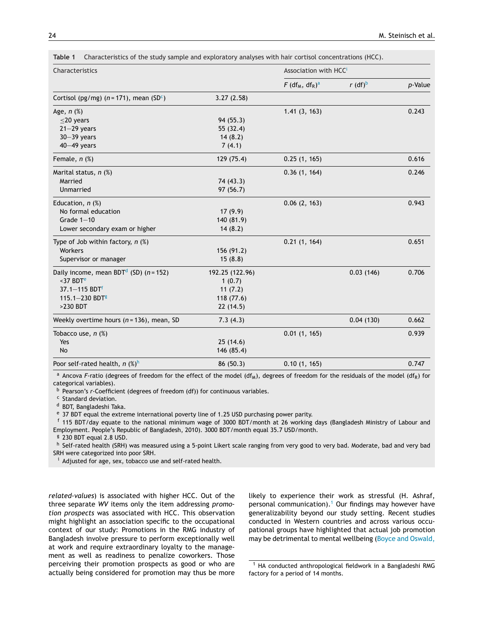| Characteristics                                         |                 | Association with HCC <sup>i</sup>                     |                       |         |
|---------------------------------------------------------|-----------------|-------------------------------------------------------|-----------------------|---------|
|                                                         |                 | $F$ (df <sub>M</sub> , df <sub>R</sub> ) <sup>a</sup> | $r$ (df) <sup>b</sup> | p-Value |
| Cortisol (pg/mg) ( $n = 171$ ), mean (SD <sup>c</sup> ) | 3.27(2.58)      |                                                       |                       |         |
| Age, $n$ $(\%)$                                         |                 | 1.41(3, 163)                                          |                       | 0.243   |
| $\leq$ 20 years                                         | 94 (55.3)       |                                                       |                       |         |
| $21 - 29$ years                                         | 55 (32.4)       |                                                       |                       |         |
| $30 - 39$ years                                         | 14(8.2)         |                                                       |                       |         |
| $40-49$ years                                           | 7(4.1)          |                                                       |                       |         |
| Female, $n$ $%$                                         | 129 (75.4)      | 0.25(1, 165)                                          |                       | 0.616   |
| Marital status, $n$ (%)                                 |                 | 0.36(1, 164)                                          |                       | 0.246   |
| Married                                                 | 74 (43.3)       |                                                       |                       |         |
| Unmarried                                               | 97 (56.7)       |                                                       |                       |         |
| Education, $n$ $%$                                      |                 | 0.06(2, 163)                                          |                       | 0.943   |
| No formal education                                     | 17(9.9)         |                                                       |                       |         |
| Grade $1-10$                                            | 140 (81.9)      |                                                       |                       |         |
| Lower secondary exam or higher                          | 14(8.2)         |                                                       |                       |         |
| Type of Job within factory, $n$ (%)                     |                 | 0.21(1, 164)                                          |                       | 0.651   |
| Workers                                                 | 156 (91.2)      |                                                       |                       |         |
| Supervisor or manager                                   | 15(8.8)         |                                                       |                       |         |
| Daily income, mean BDT <sup>d</sup> (SD) ( $n = 152$ )  | 192.25 (122.96) |                                                       | 0.03(146)             | 0.706   |
| $37$ BDT <sup>e</sup>                                   | 1(0.7)          |                                                       |                       |         |
| $37.1 - 115$ BDT <sup>f</sup>                           | 11(7.2)         |                                                       |                       |         |
| 115.1-230 BDT <sup>g</sup>                              | 118 (77.6)      |                                                       |                       |         |
| >230 BDT                                                | 22(14.5)        |                                                       |                       |         |
| Weekly overtime hours ( $n = 136$ ), mean, SD           | 7.3(4.3)        |                                                       | 0.04(130)             | 0.662   |
| Tobacco use, $n$ $%$                                    |                 | 0.01(1, 165)                                          |                       | 0.939   |
| Yes                                                     | 25(14.6)        |                                                       |                       |         |
| No                                                      | 146 (85.4)      |                                                       |                       |         |
| Poor self-rated health, $n$ (%) <sup>h</sup>            | 86 (50.3)       | 0.10(1, 165)                                          |                       | 0.747   |

<span id="page-5-0"></span>**Table 1** Characteristics of the study sample and exploratory analyses with hair cortisol concentrations (HCC).

<sup>a</sup> Ancova *F*-ratio (degrees of freedom for the effect of the model (df<sub>M</sub>), degrees of freedom for the residuals of the model (df<sub>R</sub>) for categorical variables).

<sup>b</sup> Pearson's *r*-Coefficient (degrees of freedom (df)) for continuous variables.

<sup>c</sup> Standard deviation.

<sup>d</sup> BDT, Bangladeshi Taka.

<sup>e</sup> 37 BDT equal the extreme international poverty line of 1.25 USD purchasing power parity.

 $f$  115 BDT/day equate to the national minimum wage of 3000 BDT/month at 26 working days (Bangladesh Ministry of Labour and Employment. People's Republic of Bangladesh, 2010). 3000 BDT/month equal 35.7 USD/month.

<sup>g</sup> 230 BDT equal 2.8 USD.

h Self-rated health (SRH) was measured using a 5-point Likert scale ranging from very good to very bad. Moderate, bad and very bad SRH were categorized into poor SRH.

Adjusted for age, sex, tobacco use and self-rated health.

*related-values*) is associated with higher HCC. Out of the three separate *WV* items only the item addressing *promotion prospects* was associated with HCC. This observation might highlight an association specific to the occupational context of our study: Promotions in the RMG industry of Bangladesh involve pressure to perform exceptionally well at work and require extraordinary loyalty to the management as well as readiness to penalize coworkers. Those perceiving their promotion prospects as good or who are actually being considered for promotion may thus be more likely to experience their work as stressful (H. Ashraf, personal communication).<sup>1</sup> Our findings may however have generalizability beyond our study setting. Recent studies conducted in Western countries and across various occupational groups have highlighted that actual job promotion may be detrimental to mental wellbeing ([Boyce](#page-7-0) [and](#page-7-0) [Oswald,](#page-7-0)

 $1$  HA conducted anthropological fieldwork in a Bangladeshi RMG factory for a period of 14 months.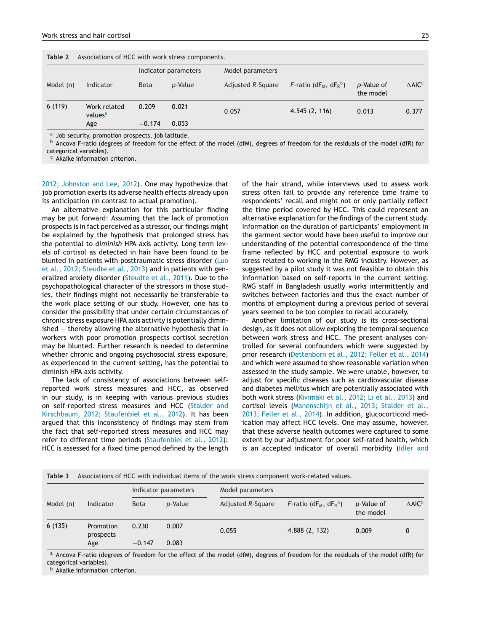<span id="page-6-0"></span>

| Associations of HCC with work stress components.<br>Table 2 |                                     |             |                      |                   |                                   |                         |                              |
|-------------------------------------------------------------|-------------------------------------|-------------|----------------------|-------------------|-----------------------------------|-------------------------|------------------------------|
|                                                             |                                     |             | Indicator parameters | Model parameters  |                                   |                         |                              |
| Model (n)                                                   | Indicator                           | <b>Beta</b> | p-Value              | Adjusted R-Square | $F$ -ratio (d $F_M$ , d $F_R^b$ ) | p-Value of<br>the model | $\triangle$ AIC <sup>c</sup> |
| 6(119)                                                      | Work related<br>values <sup>a</sup> | 0.209       | 0.021                | 0.057             | 4.545(2, 116)                     | 0.013                   | 0.377                        |
|                                                             | Age                                 | $-0.174$    | 0.053                |                   |                                   |                         |                              |

<sup>a</sup> Job security, promotion prospects, job latitude.

 $b$  Ancova F-ratio (degrees of freedom for the effect of the model (dfM), degrees of freedom for the residuals of the model (dfR) for categorical variables).

Akaike information criterion.

[2012;](#page-7-0) [Johnston](#page-7-0) [and](#page-7-0) [Lee,](#page-7-0) [2012\).](#page-7-0) One may hypothesize that job promotion exerts its adverse health effects already upon its anticipation (in contrast to actual promotion).

An alternative explanation for this particular finding may be put forward: Assuming that the lack of promotion prospects is in fact perceived as a stressor, our findings might be explained by the hypothesis that prolonged stress has the potential to *diminish* HPA axis activity. Long term levels of cortisol as detected in hair have been found to be blunted in patients with posttraumatic stress disorder [\(Luo](#page-8-0) et [al.,](#page-8-0) [2012;](#page-8-0) [Steudte](#page-8-0) et [al.,](#page-8-0) [2013\)](#page-8-0) and in patients with generalized anxiety disorder ([Steudte](#page-8-0) et [al.,](#page-8-0) [2011\).](#page-8-0) Due to the psychopathological character of the stressors in those studies, their findings might not necessarily be transferable to the work place setting of our study. However, one has to consider the possibility that under certain circumstances of chronic stress exposure HPA axis activity is potentially diminished — thereby allowing the alternative hypothesis that in workers with poor promotion prospects cortisol secretion may be blunted. Further research is needed to determine whether chronic and ongoing psychosocial stress exposure, as experienced in the current setting, has the potential to diminish HPA axis activity.

The lack of consistency of associations between selfreported work stress measures and HCC, as observed in our study, is in keeping with various previous studies on self-reported stress measures and HCC ([Stalder](#page-8-0) [and](#page-8-0) [Kirschbaum,](#page-8-0) [2012;](#page-8-0) [Staufenbiel](#page-8-0) et [al.,](#page-8-0) [2012\).](#page-8-0) It has been argued that this inconsistency of findings may stem from the fact that self-reported stress measures and HCC may refer to different time periods ([Staufenbiel](#page-8-0) et [al.,](#page-8-0) [2012\):](#page-8-0) HCC is assessed for a fixed time period defined by the length of the hair strand, while interviews used to assess work stress often fail to provide any reference time frame to respondents' recall and might not or only partially reflect the time period covered by HCC. This could represent an alternative explanation for the findings of the current study. Information on the duration of participants' employment in the garment sector would have been useful to improve our understanding of the potential correspondence of the time frame reflected by HCC and potential exposure to work stress related to working in the RMG industry. However, as suggested by a pilot study it was not feasible to obtain this information based on self-reports in the current setting: RMG staff in Bangladesh usually works intermittently and switches between factories and thus the exact number of months of employment during a previous period of several years seemed to be too complex to recall accurately.

Another limitation of our study is its cross-sectional design, as it does not allow exploring the temporal sequence between work stress and HCC. The present analyses controlled for several confounders which were suggested by prior research ([Dettenborn](#page-7-0) et [al.,](#page-7-0) [2012;](#page-7-0) [Feller](#page-7-0) et [al.,](#page-7-0) [2014\)](#page-7-0) and which were assumed to show reasonable variation when assessed in the study sample. We were unable, however, to adjust for specific diseases such as cardiovascular disease and diabetes mellitus which are potentially associated with both work stress ([Kivimäki](#page-8-0) et [al.,](#page-8-0) [2012;](#page-8-0) [Li](#page-8-0) et [al.,](#page-8-0) [2013\)](#page-8-0) and cortisol levels [\(Manenschijn](#page-8-0) et [al.,](#page-8-0) [2013;](#page-8-0) [Stalder](#page-8-0) et [al.,](#page-8-0) [2013;](#page-8-0) [Feller](#page-8-0) et [al.,](#page-8-0) [2014\).](#page-8-0) In addition, glucocorticoid medication may affect HCC levels. One may assume, however, that these adverse health outcomes were captured to some extent by our adjustment for poor self-rated health, which is an accepted indicator of overall morbidity ([Idler](#page-7-0) [and](#page-7-0)

| Table 3 Associations of HCC with individual items of the work stress component work-related values. |  |  |  |  |  |
|-----------------------------------------------------------------------------------------------------|--|--|--|--|--|
|-----------------------------------------------------------------------------------------------------|--|--|--|--|--|

|           | Indicator                     | Indicator parameters |                | Model parameters  |                                   |                         |                              |
|-----------|-------------------------------|----------------------|----------------|-------------------|-----------------------------------|-------------------------|------------------------------|
| Model (n) |                               | <b>Beta</b>          | p-Value        | Adjusted R-Square | $F$ -ratio (d $F_M$ , d $F_R^a$ ) | p-Value of<br>the model | $\triangle$ AIC <sup>b</sup> |
| 6(135)    | Promotion<br>prospects<br>Age | 0.230<br>$-0.147$    | 0.007<br>0.083 | 0.055             | 4.888(2, 132)                     | 0.009                   | 0                            |

a Ancova F-ratio (degrees of freedom for the effect of the model (dfM), degrees of freedom for the residuals of the model (dfR) for categorical variables).

**b** Akaike information criterion.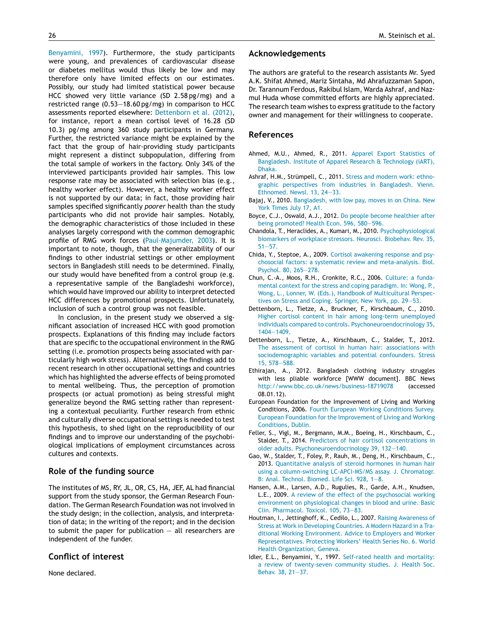<span id="page-7-0"></span>Benyamini, 1997). Furthermore, the study participants were young, and prevalences of cardiovascular disease or diabetes mellitus would thus likely be low and may therefore only have limited effects on our estimates. Possibly, our study had limited statistical power because HCC showed very little variance (SD 2.58 pg/mg) and a restricted range (0.53—18.60 pg/mg) in comparison to HCC assessments reported elsewhere: Dettenborn et al. (2012), for instance, report a mean cortisol level of 16.28 (SD 10.3) pg/mg among 360 study participants in Germany. Further, the restricted variance might be explained by the fact that the group of hair-providing study participants might represent a distinct subpopulation, differing from the total sample of workers in the factory. Only 34% of the interviewed participants provided hair samples. This low response rate may be associated with selection bias (e.g., healthy worker effect). However, a healthy worker effect is not supported by our data; in fact, those providing hair samples specified significantly *poorer* health than the study participants who did not provide hair samples. Notably, the demographic characteristics of those included in these analyses largely correspond with the common demographic profile of RMG work forces [\(Paul-Majumder,](#page-8-0) [2003\).](#page-8-0) It is important to note, though, that the generalizability of our findings to other industrial settings or other employment sectors in Bangladesh still needs to be determined. Finally, our study would have benefited from a control group (e.g. a representative sample of the Bangladeshi workforce), which would have improved our ability to interpret detected HCC differences by promotional prospects. Unfortunately, inclusion of such a control group was not feasible.

In conclusion, in the present study we observed a significant association of increased HCC with good promotion prospects. Explanations of this finding may include factors that are specific to the occupational environment in the RMG setting (i.e. promotion prospects being associated with particularly high work stress). Alternatively, the findings add to recent research in other occupational settings and countries which has highlighted the adverse effects of being promoted to mental wellbeing. Thus, the perception of promotion prospects (or actual promotion) as being stressful might generalize beyond the RMG setting rather than representing a contextual peculiarity. Further research from ethnic and culturally diverse occupational settings is needed to test this hypothesis, to shed light on the reproducibility of our findings and to improve our understanding of the psychobiological implications of employment circumstances across cultures and contexts.

#### **Role of the funding source**

The institutes of MS, RY, JL, OR, CS, HA, JEF, AL had financial support from the study sponsor, the German Research Foundation. The German Research Foundation was not involved in the study design; in the collection, analysis, and interpretation of data; in the writing of the report; and in the decision to submit the paper for publication  $-$  all researchers are independent of the funder.

#### **Conflict of interest**

None declared.

#### **Acknowledgements**

The authors are grateful to the research assistants Mr. Syed A.K. Shifat Ahmed, Mariz Sintaha, Md Ahrafuzzaman Sapon, Dr. Tarannum Ferdous, Rakibul Islam, Warda Ashraf, and Nazmul Huda whose committed efforts are highly appreciated. The research team wishes to express gratitude to the factory owner and management for their willingness to cooperate.

#### **References**

- Ahmed, M.U., Ahmed, R., 2011. [Apparel](http://refhub.elsevier.com/S0306-4530(14)00305-9/sbref0005) [Export](http://refhub.elsevier.com/S0306-4530(14)00305-9/sbref0005) [Statistics](http://refhub.elsevier.com/S0306-4530(14)00305-9/sbref0005) [of](http://refhub.elsevier.com/S0306-4530(14)00305-9/sbref0005) [Bangladesh.](http://refhub.elsevier.com/S0306-4530(14)00305-9/sbref0005) [Institute](http://refhub.elsevier.com/S0306-4530(14)00305-9/sbref0005) [of](http://refhub.elsevier.com/S0306-4530(14)00305-9/sbref0005) [Apparel](http://refhub.elsevier.com/S0306-4530(14)00305-9/sbref0005) [Research](http://refhub.elsevier.com/S0306-4530(14)00305-9/sbref0005) [&](http://refhub.elsevier.com/S0306-4530(14)00305-9/sbref0005) [Technology](http://refhub.elsevier.com/S0306-4530(14)00305-9/sbref0005) [\(iART\),](http://refhub.elsevier.com/S0306-4530(14)00305-9/sbref0005) [Dhaka.](http://refhub.elsevier.com/S0306-4530(14)00305-9/sbref0005)
- Ashraf, H.M., Strümpell, C., 2011. [Stress](http://refhub.elsevier.com/S0306-4530(14)00305-9/sbref0010) [and](http://refhub.elsevier.com/S0306-4530(14)00305-9/sbref0010) [modern](http://refhub.elsevier.com/S0306-4530(14)00305-9/sbref0010) [work:](http://refhub.elsevier.com/S0306-4530(14)00305-9/sbref0010) [ethno](http://refhub.elsevier.com/S0306-4530(14)00305-9/sbref0010)[graphic](http://refhub.elsevier.com/S0306-4530(14)00305-9/sbref0010) [perspectives](http://refhub.elsevier.com/S0306-4530(14)00305-9/sbref0010) [from](http://refhub.elsevier.com/S0306-4530(14)00305-9/sbref0010) [industries](http://refhub.elsevier.com/S0306-4530(14)00305-9/sbref0010) [in](http://refhub.elsevier.com/S0306-4530(14)00305-9/sbref0010) [Bangladesh.](http://refhub.elsevier.com/S0306-4530(14)00305-9/sbref0010) [Vienn.](http://refhub.elsevier.com/S0306-4530(14)00305-9/sbref0010) [Ethnomed.](http://refhub.elsevier.com/S0306-4530(14)00305-9/sbref0010) [Newsl.](http://refhub.elsevier.com/S0306-4530(14)00305-9/sbref0010) [13,](http://refhub.elsevier.com/S0306-4530(14)00305-9/sbref0010) [24—33.](http://refhub.elsevier.com/S0306-4530(14)00305-9/sbref0010)
- Bajaj, V., 2010. [Bangladesh,](http://refhub.elsevier.com/S0306-4530(14)00305-9/sbref0015) [with](http://refhub.elsevier.com/S0306-4530(14)00305-9/sbref0015) [low](http://refhub.elsevier.com/S0306-4530(14)00305-9/sbref0015) [pay,](http://refhub.elsevier.com/S0306-4530(14)00305-9/sbref0015) [moves](http://refhub.elsevier.com/S0306-4530(14)00305-9/sbref0015) [in](http://refhub.elsevier.com/S0306-4530(14)00305-9/sbref0015) [on](http://refhub.elsevier.com/S0306-4530(14)00305-9/sbref0015) [China.](http://refhub.elsevier.com/S0306-4530(14)00305-9/sbref0015) [New](http://refhub.elsevier.com/S0306-4530(14)00305-9/sbref0015) [York](http://refhub.elsevier.com/S0306-4530(14)00305-9/sbref0015) [Times](http://refhub.elsevier.com/S0306-4530(14)00305-9/sbref0015) [July](http://refhub.elsevier.com/S0306-4530(14)00305-9/sbref0015) [17,](http://refhub.elsevier.com/S0306-4530(14)00305-9/sbref0015) [A1.](http://refhub.elsevier.com/S0306-4530(14)00305-9/sbref0015)
- Boyce, C.J., Oswald, A.J., 2012. [Do](http://refhub.elsevier.com/S0306-4530(14)00305-9/sbref0020) [people](http://refhub.elsevier.com/S0306-4530(14)00305-9/sbref0020) [become](http://refhub.elsevier.com/S0306-4530(14)00305-9/sbref0020) [healthier](http://refhub.elsevier.com/S0306-4530(14)00305-9/sbref0020) [after](http://refhub.elsevier.com/S0306-4530(14)00305-9/sbref0020) [being](http://refhub.elsevier.com/S0306-4530(14)00305-9/sbref0020) [promoted?](http://refhub.elsevier.com/S0306-4530(14)00305-9/sbref0020) [Health](http://refhub.elsevier.com/S0306-4530(14)00305-9/sbref0020) [Econ.](http://refhub.elsevier.com/S0306-4530(14)00305-9/sbref0020) [596,](http://refhub.elsevier.com/S0306-4530(14)00305-9/sbref0020) [580—596.](http://refhub.elsevier.com/S0306-4530(14)00305-9/sbref0020)
- Chandola, T., Heraclides, A., Kumari, M., 2010. [Psychophysiological](http://refhub.elsevier.com/S0306-4530(14)00305-9/sbref0025) [biomarkers](http://refhub.elsevier.com/S0306-4530(14)00305-9/sbref0025) [of](http://refhub.elsevier.com/S0306-4530(14)00305-9/sbref0025) [workplace](http://refhub.elsevier.com/S0306-4530(14)00305-9/sbref0025) [stressors.](http://refhub.elsevier.com/S0306-4530(14)00305-9/sbref0025) [Neurosci.](http://refhub.elsevier.com/S0306-4530(14)00305-9/sbref0025) [Biobehav.](http://refhub.elsevier.com/S0306-4530(14)00305-9/sbref0025) [Rev.](http://refhub.elsevier.com/S0306-4530(14)00305-9/sbref0025) [35,](http://refhub.elsevier.com/S0306-4530(14)00305-9/sbref0025) [51—57.](http://refhub.elsevier.com/S0306-4530(14)00305-9/sbref0025)
- Chida, Y., Steptoe, A., 2009. [Cortisol](http://refhub.elsevier.com/S0306-4530(14)00305-9/sbref0030) [awakening](http://refhub.elsevier.com/S0306-4530(14)00305-9/sbref0030) [response](http://refhub.elsevier.com/S0306-4530(14)00305-9/sbref0030) [and](http://refhub.elsevier.com/S0306-4530(14)00305-9/sbref0030) [psy](http://refhub.elsevier.com/S0306-4530(14)00305-9/sbref0030)[chosocial](http://refhub.elsevier.com/S0306-4530(14)00305-9/sbref0030) [factors:](http://refhub.elsevier.com/S0306-4530(14)00305-9/sbref0030) [a](http://refhub.elsevier.com/S0306-4530(14)00305-9/sbref0030) [systematic](http://refhub.elsevier.com/S0306-4530(14)00305-9/sbref0030) [review](http://refhub.elsevier.com/S0306-4530(14)00305-9/sbref0030) [and](http://refhub.elsevier.com/S0306-4530(14)00305-9/sbref0030) [meta-analysis.](http://refhub.elsevier.com/S0306-4530(14)00305-9/sbref0030) [Biol.](http://refhub.elsevier.com/S0306-4530(14)00305-9/sbref0030) [Psychol.](http://refhub.elsevier.com/S0306-4530(14)00305-9/sbref0030) [80,](http://refhub.elsevier.com/S0306-4530(14)00305-9/sbref0030) [265—278.](http://refhub.elsevier.com/S0306-4530(14)00305-9/sbref0030)
- Chun, C.-A., Moos, R.H., Cronkite, R.C., 2006. [Culture:](http://refhub.elsevier.com/S0306-4530(14)00305-9/sbref0035) [a](http://refhub.elsevier.com/S0306-4530(14)00305-9/sbref0035) [funda](http://refhub.elsevier.com/S0306-4530(14)00305-9/sbref0035)[mental](http://refhub.elsevier.com/S0306-4530(14)00305-9/sbref0035) [context](http://refhub.elsevier.com/S0306-4530(14)00305-9/sbref0035) [for](http://refhub.elsevier.com/S0306-4530(14)00305-9/sbref0035) [the](http://refhub.elsevier.com/S0306-4530(14)00305-9/sbref0035) [stress](http://refhub.elsevier.com/S0306-4530(14)00305-9/sbref0035) [and](http://refhub.elsevier.com/S0306-4530(14)00305-9/sbref0035) [coping](http://refhub.elsevier.com/S0306-4530(14)00305-9/sbref0035) [paradigm.](http://refhub.elsevier.com/S0306-4530(14)00305-9/sbref0035) [In:](http://refhub.elsevier.com/S0306-4530(14)00305-9/sbref0035) [Wong,](http://refhub.elsevier.com/S0306-4530(14)00305-9/sbref0035) [P.,](http://refhub.elsevier.com/S0306-4530(14)00305-9/sbref0035) [Wong,](http://refhub.elsevier.com/S0306-4530(14)00305-9/sbref0035) [L.,](http://refhub.elsevier.com/S0306-4530(14)00305-9/sbref0035) [Lonner,](http://refhub.elsevier.com/S0306-4530(14)00305-9/sbref0035) [W.](http://refhub.elsevier.com/S0306-4530(14)00305-9/sbref0035) [\(Eds.\),](http://refhub.elsevier.com/S0306-4530(14)00305-9/sbref0035) [Handbook](http://refhub.elsevier.com/S0306-4530(14)00305-9/sbref0035) [of](http://refhub.elsevier.com/S0306-4530(14)00305-9/sbref0035) [Multicultural](http://refhub.elsevier.com/S0306-4530(14)00305-9/sbref0035) [Perspec](http://refhub.elsevier.com/S0306-4530(14)00305-9/sbref0035)[tives](http://refhub.elsevier.com/S0306-4530(14)00305-9/sbref0035) [on](http://refhub.elsevier.com/S0306-4530(14)00305-9/sbref0035) [Stress](http://refhub.elsevier.com/S0306-4530(14)00305-9/sbref0035) [and](http://refhub.elsevier.com/S0306-4530(14)00305-9/sbref0035) [Coping.](http://refhub.elsevier.com/S0306-4530(14)00305-9/sbref0035) [Springer,](http://refhub.elsevier.com/S0306-4530(14)00305-9/sbref0035) [New](http://refhub.elsevier.com/S0306-4530(14)00305-9/sbref0035) [York,](http://refhub.elsevier.com/S0306-4530(14)00305-9/sbref0035) [pp.](http://refhub.elsevier.com/S0306-4530(14)00305-9/sbref0035) [29](http://refhub.elsevier.com/S0306-4530(14)00305-9/sbref0035)—[53.](http://refhub.elsevier.com/S0306-4530(14)00305-9/sbref0035)
- Dettenborn, L., Tietze, A., Bruckner, F., Kirschbaum, C., 2010. [Higher](http://refhub.elsevier.com/S0306-4530(14)00305-9/sbref0040) [cortisol](http://refhub.elsevier.com/S0306-4530(14)00305-9/sbref0040) [content](http://refhub.elsevier.com/S0306-4530(14)00305-9/sbref0040) [in](http://refhub.elsevier.com/S0306-4530(14)00305-9/sbref0040) [hair](http://refhub.elsevier.com/S0306-4530(14)00305-9/sbref0040) [among](http://refhub.elsevier.com/S0306-4530(14)00305-9/sbref0040) [long-term](http://refhub.elsevier.com/S0306-4530(14)00305-9/sbref0040) [unemployed](http://refhub.elsevier.com/S0306-4530(14)00305-9/sbref0040) [individuals](http://refhub.elsevier.com/S0306-4530(14)00305-9/sbref0040) [compared](http://refhub.elsevier.com/S0306-4530(14)00305-9/sbref0040) [to](http://refhub.elsevier.com/S0306-4530(14)00305-9/sbref0040) [controls.](http://refhub.elsevier.com/S0306-4530(14)00305-9/sbref0040) [Psychoneuroendocrinology](http://refhub.elsevier.com/S0306-4530(14)00305-9/sbref0040) [35,](http://refhub.elsevier.com/S0306-4530(14)00305-9/sbref0040) [1404](http://refhub.elsevier.com/S0306-4530(14)00305-9/sbref0040)—[1409.](http://refhub.elsevier.com/S0306-4530(14)00305-9/sbref0040)
- Dettenborn, L., Tietze, A., Kirschbaum, C., Stalder, T., 2012. [The](http://refhub.elsevier.com/S0306-4530(14)00305-9/sbref0045) [assessment](http://refhub.elsevier.com/S0306-4530(14)00305-9/sbref0045) [of](http://refhub.elsevier.com/S0306-4530(14)00305-9/sbref0045) [cortisol](http://refhub.elsevier.com/S0306-4530(14)00305-9/sbref0045) [in](http://refhub.elsevier.com/S0306-4530(14)00305-9/sbref0045) [human](http://refhub.elsevier.com/S0306-4530(14)00305-9/sbref0045) [hair:](http://refhub.elsevier.com/S0306-4530(14)00305-9/sbref0045) [associations](http://refhub.elsevier.com/S0306-4530(14)00305-9/sbref0045) [with](http://refhub.elsevier.com/S0306-4530(14)00305-9/sbref0045) [sociodemographic](http://refhub.elsevier.com/S0306-4530(14)00305-9/sbref0045) [variables](http://refhub.elsevier.com/S0306-4530(14)00305-9/sbref0045) [and](http://refhub.elsevier.com/S0306-4530(14)00305-9/sbref0045) [potential](http://refhub.elsevier.com/S0306-4530(14)00305-9/sbref0045) [confounders.](http://refhub.elsevier.com/S0306-4530(14)00305-9/sbref0045) [Stress](http://refhub.elsevier.com/S0306-4530(14)00305-9/sbref0045) [15,](http://refhub.elsevier.com/S0306-4530(14)00305-9/sbref0045) [578](http://refhub.elsevier.com/S0306-4530(14)00305-9/sbref0045)—[588.](http://refhub.elsevier.com/S0306-4530(14)00305-9/sbref0045)
- Ethirajan, A., 2012. Bangladesh clothing industry struggles with less pliable workforce [WWW document]. BBC News <http://www.bbc.co.uk/news/business-18719078> (accessed 08.01.12).
- European Foundation for the Improvement of Living and Working Conditions, 2006. [Fourth](http://refhub.elsevier.com/S0306-4530(14)00305-9/sbref0055) [European](http://refhub.elsevier.com/S0306-4530(14)00305-9/sbref0055) [Working](http://refhub.elsevier.com/S0306-4530(14)00305-9/sbref0055) [Conditions](http://refhub.elsevier.com/S0306-4530(14)00305-9/sbref0055) [Survey.](http://refhub.elsevier.com/S0306-4530(14)00305-9/sbref0055) [European](http://refhub.elsevier.com/S0306-4530(14)00305-9/sbref0055) [Foundation](http://refhub.elsevier.com/S0306-4530(14)00305-9/sbref0055) [for](http://refhub.elsevier.com/S0306-4530(14)00305-9/sbref0055) [the](http://refhub.elsevier.com/S0306-4530(14)00305-9/sbref0055) [Improvement](http://refhub.elsevier.com/S0306-4530(14)00305-9/sbref0055) [of](http://refhub.elsevier.com/S0306-4530(14)00305-9/sbref0055) [Living](http://refhub.elsevier.com/S0306-4530(14)00305-9/sbref0055) [and](http://refhub.elsevier.com/S0306-4530(14)00305-9/sbref0055) [Working](http://refhub.elsevier.com/S0306-4530(14)00305-9/sbref0055) [Conditions,](http://refhub.elsevier.com/S0306-4530(14)00305-9/sbref0055) [Dublin.](http://refhub.elsevier.com/S0306-4530(14)00305-9/sbref0055)
- Feller, S., Vigl, M., Bergmann, M.M., Boeing, H., Kirschbaum, C., Stalder, T., 2014. [Predictors](http://refhub.elsevier.com/S0306-4530(14)00305-9/sbref0060) [of](http://refhub.elsevier.com/S0306-4530(14)00305-9/sbref0060) [hair](http://refhub.elsevier.com/S0306-4530(14)00305-9/sbref0060) [cortisol](http://refhub.elsevier.com/S0306-4530(14)00305-9/sbref0060) [concentrations](http://refhub.elsevier.com/S0306-4530(14)00305-9/sbref0060) [in](http://refhub.elsevier.com/S0306-4530(14)00305-9/sbref0060) [older](http://refhub.elsevier.com/S0306-4530(14)00305-9/sbref0060) [adults.](http://refhub.elsevier.com/S0306-4530(14)00305-9/sbref0060) [Psychoneuroendocrinology](http://refhub.elsevier.com/S0306-4530(14)00305-9/sbref0060) [39,](http://refhub.elsevier.com/S0306-4530(14)00305-9/sbref0060) [132—140.](http://refhub.elsevier.com/S0306-4530(14)00305-9/sbref0060)
- Gao, W., Stalder, T., Foley, P., Rauh, M., Deng, H., Kirschbaum, C., 2013. [Quantitative](http://refhub.elsevier.com/S0306-4530(14)00305-9/sbref0065) [analysis](http://refhub.elsevier.com/S0306-4530(14)00305-9/sbref0065) [of](http://refhub.elsevier.com/S0306-4530(14)00305-9/sbref0065) [steroid](http://refhub.elsevier.com/S0306-4530(14)00305-9/sbref0065) [hormones](http://refhub.elsevier.com/S0306-4530(14)00305-9/sbref0065) [in](http://refhub.elsevier.com/S0306-4530(14)00305-9/sbref0065) [human](http://refhub.elsevier.com/S0306-4530(14)00305-9/sbref0065) [hair](http://refhub.elsevier.com/S0306-4530(14)00305-9/sbref0065) [using](http://refhub.elsevier.com/S0306-4530(14)00305-9/sbref0065) [a](http://refhub.elsevier.com/S0306-4530(14)00305-9/sbref0065) [column-switching](http://refhub.elsevier.com/S0306-4530(14)00305-9/sbref0065) [LC-APCI-MS/MS](http://refhub.elsevier.com/S0306-4530(14)00305-9/sbref0065) [assay.](http://refhub.elsevier.com/S0306-4530(14)00305-9/sbref0065) [J.](http://refhub.elsevier.com/S0306-4530(14)00305-9/sbref0065) [Chromatogr.](http://refhub.elsevier.com/S0306-4530(14)00305-9/sbref0065) [B:](http://refhub.elsevier.com/S0306-4530(14)00305-9/sbref0065) [Anal.](http://refhub.elsevier.com/S0306-4530(14)00305-9/sbref0065) [Technol.](http://refhub.elsevier.com/S0306-4530(14)00305-9/sbref0065) [Biomed.](http://refhub.elsevier.com/S0306-4530(14)00305-9/sbref0065) [Life](http://refhub.elsevier.com/S0306-4530(14)00305-9/sbref0065) [Sci.](http://refhub.elsevier.com/S0306-4530(14)00305-9/sbref0065) [928,](http://refhub.elsevier.com/S0306-4530(14)00305-9/sbref0065) [1](http://refhub.elsevier.com/S0306-4530(14)00305-9/sbref0065)—[8.](http://refhub.elsevier.com/S0306-4530(14)00305-9/sbref0065)
- Hansen, A.M., Larsen, A.D., Rugulies, R., Garde, A.H., Knudsen, L.E., 2009. [A](http://refhub.elsevier.com/S0306-4530(14)00305-9/sbref0070) [review](http://refhub.elsevier.com/S0306-4530(14)00305-9/sbref0070) [of](http://refhub.elsevier.com/S0306-4530(14)00305-9/sbref0070) [the](http://refhub.elsevier.com/S0306-4530(14)00305-9/sbref0070) [effect](http://refhub.elsevier.com/S0306-4530(14)00305-9/sbref0070) [of](http://refhub.elsevier.com/S0306-4530(14)00305-9/sbref0070) [the](http://refhub.elsevier.com/S0306-4530(14)00305-9/sbref0070) [psychosocial](http://refhub.elsevier.com/S0306-4530(14)00305-9/sbref0070) [working](http://refhub.elsevier.com/S0306-4530(14)00305-9/sbref0070) [environment](http://refhub.elsevier.com/S0306-4530(14)00305-9/sbref0070) [on](http://refhub.elsevier.com/S0306-4530(14)00305-9/sbref0070) [physiological](http://refhub.elsevier.com/S0306-4530(14)00305-9/sbref0070) [changes](http://refhub.elsevier.com/S0306-4530(14)00305-9/sbref0070) [in](http://refhub.elsevier.com/S0306-4530(14)00305-9/sbref0070) [blood](http://refhub.elsevier.com/S0306-4530(14)00305-9/sbref0070) [and](http://refhub.elsevier.com/S0306-4530(14)00305-9/sbref0070) [urine.](http://refhub.elsevier.com/S0306-4530(14)00305-9/sbref0070) [Basic](http://refhub.elsevier.com/S0306-4530(14)00305-9/sbref0070) [Clin.](http://refhub.elsevier.com/S0306-4530(14)00305-9/sbref0070) [Pharmacol.](http://refhub.elsevier.com/S0306-4530(14)00305-9/sbref0070) [Toxicol.](http://refhub.elsevier.com/S0306-4530(14)00305-9/sbref0070) [105,](http://refhub.elsevier.com/S0306-4530(14)00305-9/sbref0070) [73](http://refhub.elsevier.com/S0306-4530(14)00305-9/sbref0070)—[83.](http://refhub.elsevier.com/S0306-4530(14)00305-9/sbref0070)
- Houtman, I., Jettinghoff, K., Cedilo, L., 2007. [Raising](http://refhub.elsevier.com/S0306-4530(14)00305-9/sbref0075) [Awareness](http://refhub.elsevier.com/S0306-4530(14)00305-9/sbref0075) [of](http://refhub.elsevier.com/S0306-4530(14)00305-9/sbref0075) [Stress](http://refhub.elsevier.com/S0306-4530(14)00305-9/sbref0075) [at](http://refhub.elsevier.com/S0306-4530(14)00305-9/sbref0075) [Work](http://refhub.elsevier.com/S0306-4530(14)00305-9/sbref0075) [in](http://refhub.elsevier.com/S0306-4530(14)00305-9/sbref0075) [Developing](http://refhub.elsevier.com/S0306-4530(14)00305-9/sbref0075) [Countries.](http://refhub.elsevier.com/S0306-4530(14)00305-9/sbref0075) [A](http://refhub.elsevier.com/S0306-4530(14)00305-9/sbref0075) [Modern](http://refhub.elsevier.com/S0306-4530(14)00305-9/sbref0075) [Hazard](http://refhub.elsevier.com/S0306-4530(14)00305-9/sbref0075) [in](http://refhub.elsevier.com/S0306-4530(14)00305-9/sbref0075) [a](http://refhub.elsevier.com/S0306-4530(14)00305-9/sbref0075) [Tra](http://refhub.elsevier.com/S0306-4530(14)00305-9/sbref0075)[ditional](http://refhub.elsevier.com/S0306-4530(14)00305-9/sbref0075) [Working](http://refhub.elsevier.com/S0306-4530(14)00305-9/sbref0075) [Environment.](http://refhub.elsevier.com/S0306-4530(14)00305-9/sbref0075) [Advice](http://refhub.elsevier.com/S0306-4530(14)00305-9/sbref0075) [to](http://refhub.elsevier.com/S0306-4530(14)00305-9/sbref0075) [Employers](http://refhub.elsevier.com/S0306-4530(14)00305-9/sbref0075) [and](http://refhub.elsevier.com/S0306-4530(14)00305-9/sbref0075) [Worker](http://refhub.elsevier.com/S0306-4530(14)00305-9/sbref0075) [Representatives.](http://refhub.elsevier.com/S0306-4530(14)00305-9/sbref0075) [Protecting](http://refhub.elsevier.com/S0306-4530(14)00305-9/sbref0075) [Workers'](http://refhub.elsevier.com/S0306-4530(14)00305-9/sbref0075) [Health](http://refhub.elsevier.com/S0306-4530(14)00305-9/sbref0075) [Series](http://refhub.elsevier.com/S0306-4530(14)00305-9/sbref0075) [No.](http://refhub.elsevier.com/S0306-4530(14)00305-9/sbref0075) [6.](http://refhub.elsevier.com/S0306-4530(14)00305-9/sbref0075) [World](http://refhub.elsevier.com/S0306-4530(14)00305-9/sbref0075) [Health](http://refhub.elsevier.com/S0306-4530(14)00305-9/sbref0075) [Organization,](http://refhub.elsevier.com/S0306-4530(14)00305-9/sbref0075) [Geneva.](http://refhub.elsevier.com/S0306-4530(14)00305-9/sbref0075)
- Idler, E.L., Benyamini, Y., 1997. [Self-rated](http://refhub.elsevier.com/S0306-4530(14)00305-9/sbref0080) [health](http://refhub.elsevier.com/S0306-4530(14)00305-9/sbref0080) [and](http://refhub.elsevier.com/S0306-4530(14)00305-9/sbref0080) [mortality:](http://refhub.elsevier.com/S0306-4530(14)00305-9/sbref0080) [a](http://refhub.elsevier.com/S0306-4530(14)00305-9/sbref0080) [review](http://refhub.elsevier.com/S0306-4530(14)00305-9/sbref0080) [of](http://refhub.elsevier.com/S0306-4530(14)00305-9/sbref0080) [twenty-seven](http://refhub.elsevier.com/S0306-4530(14)00305-9/sbref0080) [community](http://refhub.elsevier.com/S0306-4530(14)00305-9/sbref0080) [studies.](http://refhub.elsevier.com/S0306-4530(14)00305-9/sbref0080) [J.](http://refhub.elsevier.com/S0306-4530(14)00305-9/sbref0080) [Health](http://refhub.elsevier.com/S0306-4530(14)00305-9/sbref0080) [Soc.](http://refhub.elsevier.com/S0306-4530(14)00305-9/sbref0080) [Behav.](http://refhub.elsevier.com/S0306-4530(14)00305-9/sbref0080) [38,](http://refhub.elsevier.com/S0306-4530(14)00305-9/sbref0080) [21](http://refhub.elsevier.com/S0306-4530(14)00305-9/sbref0080)—[37.](http://refhub.elsevier.com/S0306-4530(14)00305-9/sbref0080)